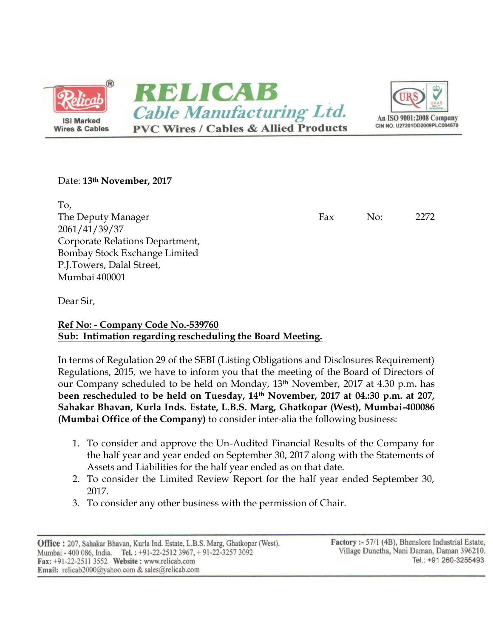

## Date: **13th November, 2017**

To, The Deputy Manager Fax No: 2272 2061/41/39/37 Corporate Relations Department, Bombay Stock Exchange Limited P.J.Towers, Dalal Street, Mumbai 400001

Dear Sir,

**Ref No: - Company Code No.-539760 Sub: Intimation regarding rescheduling the Board Meeting.**

In terms of Regulation 29 of the SEBI (Listing Obligations and Disclosures Requirement) Regulations, 2015, we have to inform you that the meeting of the Board of Directors of our Company scheduled to be held on Monday, 13th November, 2017 at 4.30 p.m**.** has **been rescheduled to be held on Tuesday, 14th November, 2017 at 04.:30 p.m. at 207, Sahakar Bhavan, Kurla Inds. Estate, L.B.S. Marg, Ghatkopar (West), Mumbai-400086 (Mumbai Office of the Company)** to consider inter-alia the following business:

- 1. To consider and approve the Un-Audited Financial Results of the Company for the half year and year ended on September 30, 2017 along with the Statements of Assets and Liabilities for the half year ended as on that date.
- 2. To consider the Limited Review Report for the half year ended September 30, 2017.
- 3. To consider any other business with the permission of Chair.